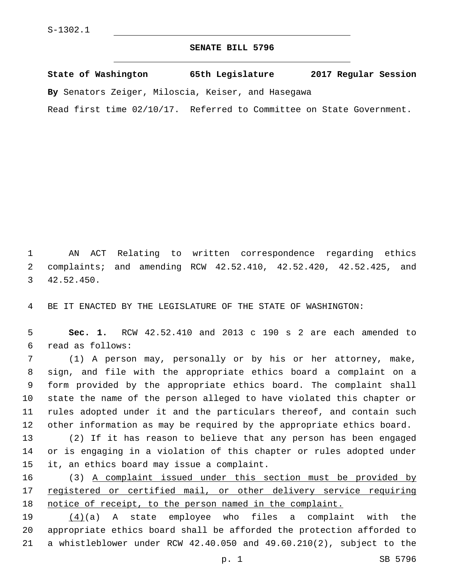## **SENATE BILL 5796**

**State of Washington 65th Legislature 2017 Regular Session By** Senators Zeiger, Miloscia, Keiser, and Hasegawa

Read first time 02/10/17. Referred to Committee on State Government.

1 AN ACT Relating to written correspondence regarding ethics 2 complaints; and amending RCW 42.52.410, 42.52.420, 42.52.425, and 42.52.450.3

4 BE IT ENACTED BY THE LEGISLATURE OF THE STATE OF WASHINGTON:

5 **Sec. 1.** RCW 42.52.410 and 2013 c 190 s 2 are each amended to read as follows:6

 (1) A person may, personally or by his or her attorney, make, sign, and file with the appropriate ethics board a complaint on a form provided by the appropriate ethics board. The complaint shall state the name of the person alleged to have violated this chapter or rules adopted under it and the particulars thereof, and contain such other information as may be required by the appropriate ethics board.

13 (2) If it has reason to believe that any person has been engaged 14 or is engaging in a violation of this chapter or rules adopted under 15 it, an ethics board may issue a complaint.

16 (3) A complaint issued under this section must be provided by 17 registered or certified mail, or other delivery service requiring 18 notice of receipt, to the person named in the complaint.

19 (4)(a) A state employee who files a complaint with the 20 appropriate ethics board shall be afforded the protection afforded to 21 a whistleblower under RCW 42.40.050 and 49.60.210(2), subject to the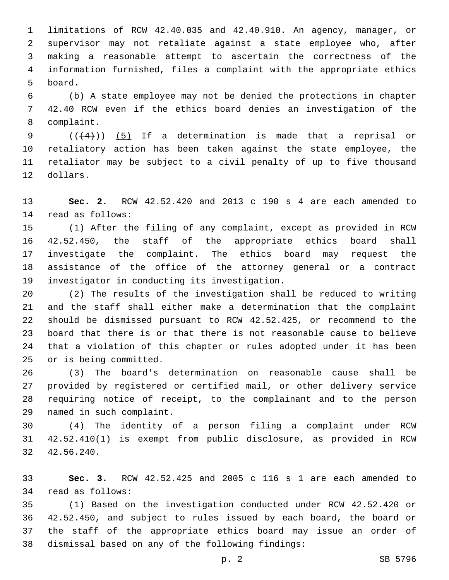limitations of RCW 42.40.035 and 42.40.910. An agency, manager, or supervisor may not retaliate against a state employee who, after making a reasonable attempt to ascertain the correctness of the information furnished, files a complaint with the appropriate ethics 5 board.

 (b) A state employee may not be denied the protections in chapter 42.40 RCW even if the ethics board denies an investigation of the 8 complaint.

9 ( $(\frac{4}{4})$ ) (5) If a determination is made that a reprisal or retaliatory action has been taken against the state employee, the retaliator may be subject to a civil penalty of up to five thousand 12 dollars.

 **Sec. 2.** RCW 42.52.420 and 2013 c 190 s 4 are each amended to 14 read as follows:

 (1) After the filing of any complaint, except as provided in RCW 42.52.450, the staff of the appropriate ethics board shall investigate the complaint. The ethics board may request the assistance of the office of the attorney general or a contract 19 investigator in conducting its investigation.

 (2) The results of the investigation shall be reduced to writing and the staff shall either make a determination that the complaint should be dismissed pursuant to RCW 42.52.425, or recommend to the board that there is or that there is not reasonable cause to believe that a violation of this chapter or rules adopted under it has been 25 or is being committed.

 (3) The board's determination on reasonable cause shall be provided by registered or certified mail, or other delivery service 28 requiring notice of receipt, to the complainant and to the person 29 named in such complaint.

 (4) The identity of a person filing a complaint under RCW 42.52.410(1) is exempt from public disclosure, as provided in RCW 42.56.240.32

 **Sec. 3.** RCW 42.52.425 and 2005 c 116 s 1 are each amended to 34 read as follows:

 (1) Based on the investigation conducted under RCW 42.52.420 or 42.52.450, and subject to rules issued by each board, the board or the staff of the appropriate ethics board may issue an order of 38 dismissal based on any of the following findings: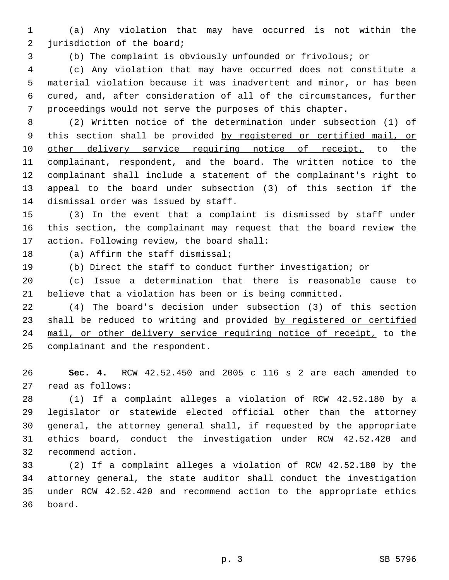(a) Any violation that may have occurred is not within the 2 jurisdiction of the board;

(b) The complaint is obviously unfounded or frivolous; or

 (c) Any violation that may have occurred does not constitute a material violation because it was inadvertent and minor, or has been cured, and, after consideration of all of the circumstances, further proceedings would not serve the purposes of this chapter.

 (2) Written notice of the determination under subsection (1) of this section shall be provided by registered or certified mail, or 10 other delivery service requiring notice of receipt, to the complainant, respondent, and the board. The written notice to the complainant shall include a statement of the complainant's right to appeal to the board under subsection (3) of this section if the 14 dismissal order was issued by staff.

 (3) In the event that a complaint is dismissed by staff under this section, the complainant may request that the board review the 17 action. Following review, the board shall:

18 (a) Affirm the staff dismissal;

(b) Direct the staff to conduct further investigation; or

 (c) Issue a determination that there is reasonable cause to believe that a violation has been or is being committed.

 (4) The board's decision under subsection (3) of this section 23 shall be reduced to writing and provided by registered or certified 24 mail, or other delivery service requiring notice of receipt, to the 25 complainant and the respondent.

 **Sec. 4.** RCW 42.52.450 and 2005 c 116 s 2 are each amended to 27 read as follows:

 (1) If a complaint alleges a violation of RCW 42.52.180 by a legislator or statewide elected official other than the attorney general, the attorney general shall, if requested by the appropriate ethics board, conduct the investigation under RCW 42.52.420 and 32 recommend action.

 (2) If a complaint alleges a violation of RCW 42.52.180 by the attorney general, the state auditor shall conduct the investigation under RCW 42.52.420 and recommend action to the appropriate ethics 36 board.